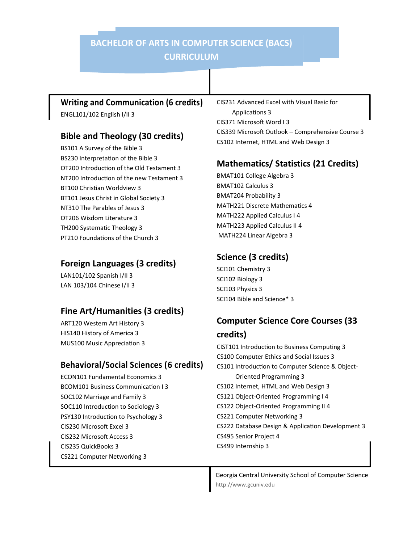## **BACHELOR OF ARTS IN COMPUTER SCIENCE (BACS) CURRICULUM**

#### **Writing and Communication (6 credits)**

ENGL101/102 English I/II 3

#### **Bible and Theology (30 credits)**

BS101 A Survey of the Bible 3 BS230 Interpretation of the Bible 3 OT200 Introduction of the Old Testament 3 NT200 Introduction of the new Testament 3 BT100 Christian Worldview 3 BT101 Jesus Christ in Global Society 3 NT310 The Parables of Jesus 3 OT206 Wisdom Literature 3 TH200 Systematic Theology 3 PT210 Foundations of the Church 3

#### **Foreign Languages (3 credits)**

LAN101/102 Spanish I/II 3 LAN 103/104 Chinese I/II 3

### **Fine Art/Humanities (3 credits)**

ART120 Western Art History 3 HIS140 History of America 3 MUS100 Music Appreciation 3

### **Behavioral/Social Sciences (6 credits)**

ECON101 Fundamental Economics 3 BCOM101 Business Communication I 3 SOC102 Marriage and Family 3 SOC110 Introduction to Sociology 3 PSY130 Introduction to Psychology 3 CIS230 Microsoft Excel 3 CIS232 Microsoft Access 3 CIS235 QuickBooks 3 CS221 Computer Networking 3

CIS231 Advanced Excel with Visual Basic for Applications 3 CIS371 Microsoft Word I 3 CIS339 Microsoft Outlook – Comprehensive Course 3 CS102 Internet, HTML and Web Design 3

## **Mathematics/ Statistics (21 Credits)**

BMAT101 College Algebra 3 BMAT102 Calculus 3 BMAT204 Probability 3 MATH221 Discrete Mathematics 4 MATH222 Applied Calculus I 4 MATH223 Applied Calculus II 4 MATH224 Linear Algebra 3

## **Science (3 credits)**

SCI101 Chemistry 3 SCI102 Biology 3 SCI103 Physics 3 SCI104 Bible and Science\* 3

# **Computer Science Core Courses (33**

#### **credits)**

CIST101 Introduction to Business Computing 3 CS100 Computer Ethics and Social Issues 3 CS101 Introduction to Computer Science & Object- Oriented Programming 3 CS102 Internet, HTML and Web Design 3 CS121 Object-Oriented Programming I 4 CS122 Object-Oriented Programming II 4 CS221 Computer Networking 3 CS222 Database Design & Application Development 3 CS495 Senior Project 4 CS499 Internship 3

http://www.gcuniv.edu Georgia Central University School of Computer Science